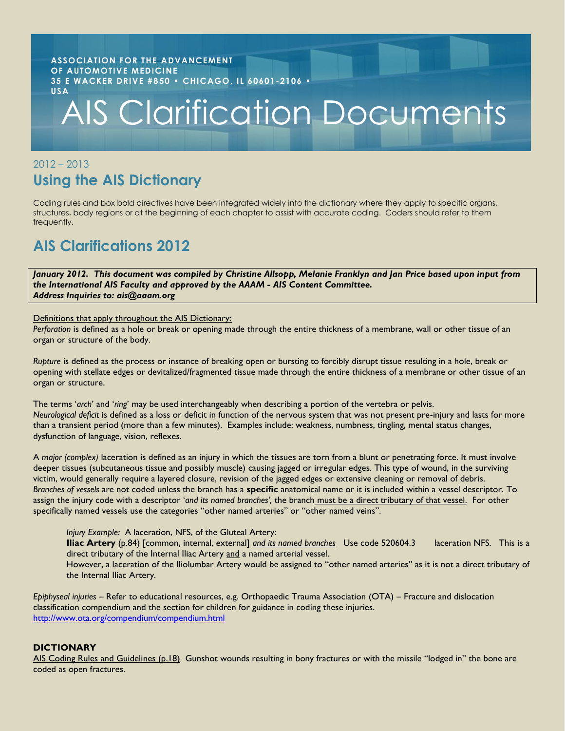#### **ASSOCIATION FOR THE ADVANCEMENT OF AUTOMOTIVE MEDICINE 35 E WACKER DRIVE #850 • CHICAGO, IL 60601-2106 • USA**

# AIS Clarification Documents

# 2012 – 2013 **Using the AIS Dictionary**

Coding rules and box bold directives have been integrated widely into the dictionary where they apply to specific organs, structures, body regions or at the beginning of each chapter to assist with accurate coding. Coders should refer to them frequently.

# **AIS Clarifications 2012**

*January 2012. This document was compiled by Christine Allsopp, Melanie Franklyn and Jan Price based upon input from the International AIS Faculty and approved by the AAAM - AIS Content Committee. Address Inquiries to: ais@aaam.org*

Definitions that apply throughout the AIS Dictionary:

*Perforation* is defined as a hole or break or opening made through the entire thickness of a membrane, wall or other tissue of an organ or structure of the body.

*Rupture* is defined as the process or instance of breaking open or bursting to forcibly disrupt tissue resulting in a hole, break or opening with stellate edges or devitalized/fragmented tissue made through the entire thickness of a membrane or other tissue of an organ or structure.

The terms '*arch*' and '*ring*' may be used interchangeably when describing a portion of the vertebra or pelvis. *Neurological deficit* is defined as a loss or deficit in function of the nervous system that was not present pre-injury and lasts for more than a transient period (more than a few minutes). Examples include: weakness, numbness, tingling, mental status changes, dysfunction of language, vision, reflexes.

A *major (complex)* laceration is defined as an injury in which the tissues are torn from a blunt or penetrating force. It must involve deeper tissues (subcutaneous tissue and possibly muscle) causing jagged or irregular edges. This type of wound, in the surviving victim, would generally require a layered closure, revision of the jagged edges or extensive cleaning or removal of debris. *Branches of vessels* are not coded unless the branch has a **specific** anatomical name or it is included within a vessel descriptor. To assign the injury code with a descriptor '*and its named branches',* the branch must be a direct tributary of that vessel. For other specifically named vessels use the categories "other named arteries" or "other named veins".

*Injury Example:* A laceration, NFS, of the Gluteal Artery:

**Iliac Artery** (p.84) [common, internal, external] *and its named branches* Use code 520604.3 laceration NFS. This is a direct tributary of the Internal Iliac Artery and a named arterial vessel.

However, a laceration of the Iliolumbar Artery would be assigned to "other named arteries" as it is not a direct tributary of the Internal Iliac Artery.

*Epiphyseal injuries* – Refer to educational resources, e.g. Orthopaedic Trauma Association (OTA) – Fracture and dislocation classification compendium and the section for children for guidance in coding these injuries. <http://www.ota.org/compendium/compendium.html>

# **DICTIONARY**

AIS Coding Rules and Guidelines (p.18) Gunshot wounds resulting in bony fractures or with the missile "lodged in" the bone are coded as open fractures.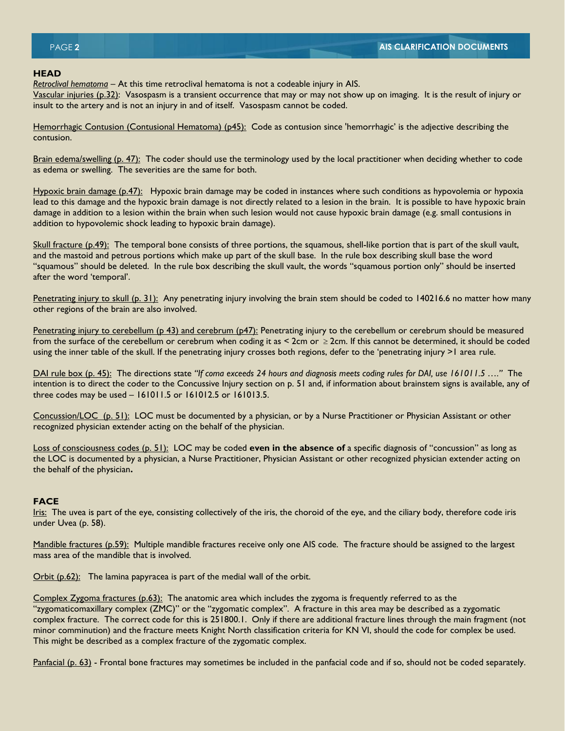## **HEAD**

*Retroclival hematoma* – At this time retroclival hematoma is not a codeable injury in AIS.

Vascular injuries (p.32): Vasospasm is a transient occurrence that may or may not show up on imaging. It is the result of injury or insult to the artery and is not an injury in and of itself. Vasospasm cannot be coded.

Hemorrhagic Contusion (Contusional Hematoma) (p45): Code as contusion since 'hemorrhagic' is the adjective describing the contusion.

Brain edema/swelling (p. 47): The coder should use the terminology used by the local practitioner when deciding whether to code as edema or swelling. The severities are the same for both.

Hypoxic brain damage (p.47): Hypoxic brain damage may be coded in instances where such conditions as hypovolemia or hypoxia lead to this damage and the hypoxic brain damage is not directly related to a lesion in the brain. It is possible to have hypoxic brain damage in addition to a lesion within the brain when such lesion would not cause hypoxic brain damage (e.g. small contusions in addition to hypovolemic shock leading to hypoxic brain damage).

Skull fracture (p.49): The temporal bone consists of three portions, the squamous, shell-like portion that is part of the skull vault, and the mastoid and petrous portions which make up part of the skull base. In the rule box describing skull base the word "squamous" should be deleted. In the rule box describing the skull vault, the words "squamous portion only" should be inserted after the word 'temporal'.

Penetrating injury to skull (p. 31): Any penetrating injury involving the brain stem should be coded to 140216.6 no matter how many other regions of the brain are also involved.

Penetrating injury to cerebellum (p 43) and cerebrum (p47): Penetrating injury to the cerebellum or cerebrum should be measured from the surface of the cerebellum or cerebrum when coding it as < 2cm or ≥2cm. If this cannot be determined, it should be coded using the inner table of the skull. If the penetrating injury crosses both regions, defer to the 'penetrating injury >1 area rule.

DAI rule box (p. 45): The directions state *"If coma exceeds 24 hours and diagnosis meets coding rules for DAI, use 161011.5 …."* The intention is to direct the coder to the Concussive Injury section on p. 51 and, if information about brainstem signs is available, any of three codes may be used – 161011.5 or 161012.5 or 161013.5.

Concussion/LOC (p. 51): LOC must be documented by a physician, or by a Nurse Practitioner or Physician Assistant or other recognized physician extender acting on the behalf of the physician.

Loss of consciousness codes (p. 51): LOC may be coded **even in the absence of** a specific diagnosis of "concussion" as long as the LOC is documented by a physician, a Nurse Practitioner, Physician Assistant or other recognized physician extender acting on the behalf of the physician**.** 

# **FACE**

Iris: The uvea is part of the eye, consisting collectively of the iris, the choroid of the eye, and the ciliary body, therefore code iris under Uvea (p. 58).

Mandible fractures (p.59): Multiple mandible fractures receive only one AIS code. The fracture should be assigned to the largest mass area of the mandible that is involved.

Orbit (p.62): The lamina papyracea is part of the medial wall of the orbit.

Complex Zygoma fractures (p.63): The anatomic area which includes the zygoma is frequently referred to as the "zygomaticomaxillary complex (ZMC)" or the "zygomatic complex". A fracture in this area may be described as a zygomatic complex fracture. The correct code for this is 251800.1. Only if there are additional fracture lines through the main fragment (not minor comminution) and the fracture meets Knight North classification criteria for KN VI, should the code for complex be used. This might be described as a complex fracture of the zygomatic complex.

Panfacial (p. 63) - Frontal bone fractures may sometimes be included in the panfacial code and if so, should not be coded separately.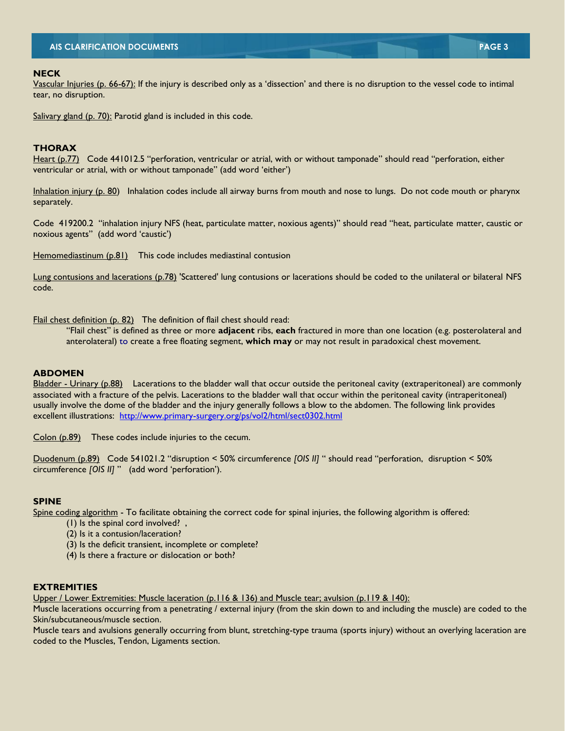# **AIS CLARIFICATION DOCUMENTS PAGE 3**

#### **NECK**

Vascular Injuries (p. 66-67): If the injury is described only as a 'dissection' and there is no disruption to the vessel code to intimal tear, no disruption.

Salivary gland (p. 70): Parotid gland is included in this code.

## **THORAX**

Heart (p.77) Code 441012.5 "perforation, ventricular or atrial, with or without tamponade" should read "perforation, either ventricular or atrial, with or without tamponade" (add word 'either')

Inhalation injury (p. 80) Inhalation codes include all airway burns from mouth and nose to lungs. Do not code mouth or pharynx separately.

Code 419200.2 "inhalation injury NFS (heat, particulate matter, noxious agents)" should read "heat, particulate matter, caustic or noxious agents" (add word 'caustic')

Hemomediastinum (p.81) This code includes mediastinal contusion

Lung contusions and lacerations (p.78) 'Scattered' lung contusions or lacerations should be coded to the unilateral or bilateral NFS code.

Flail chest definition (p. 82) The definition of flail chest should read:

"Flail chest" is defined as three or more **adjacent** ribs, **each** fractured in more than one location (e.g. posterolateral and anterolateral) to create a free floating segment, **which may** or may not result in paradoxical chest movement.

## **ABDOMEN**

Bladder - Urinary (p.88) Lacerations to the bladder wall that occur outside the peritoneal cavity (extraperitoneal) are commonly associated with a fracture of the pelvis. Lacerations to the bladder wall that occur within the peritoneal cavity (intraperitoneal) usually involve the dome of the bladder and the injury generally follows a blow to the abdomen. The following link provides excellent illustrations: <http://www.primary-surgery.org/ps/vol2/html/sect0302.html>

Colon (p.89) These codes include injuries to the cecum.

Duodenum (p.89) Code 541021.2 "disruption < 50% circumference *[OIS II]* " should read "perforation, disruption < 50% circumference *[OIS II]* " (add word 'perforation').

#### **SPINE**

Spine coding algorithm - To facilitate obtaining the correct code for spinal injuries, the following algorithm is offered:

- (1) Is the spinal cord involved? ,
- (2) Is it a contusion/laceration?
- (3) Is the deficit transient, incomplete or complete?
- (4) Is there a fracture or dislocation or both?

#### **EXTREMITIES**

Upper / Lower Extremities: Muscle laceration (p.116 & 136) and Muscle tear; avulsion (p.119 & 140):

Muscle lacerations occurring from a penetrating / external injury (from the skin down to and including the muscle) are coded to the Skin/subcutaneous/muscle section.

Muscle tears and avulsions generally occurring from blunt, stretching-type trauma (sports injury) without an overlying laceration are coded to the Muscles, Tendon, Ligaments section.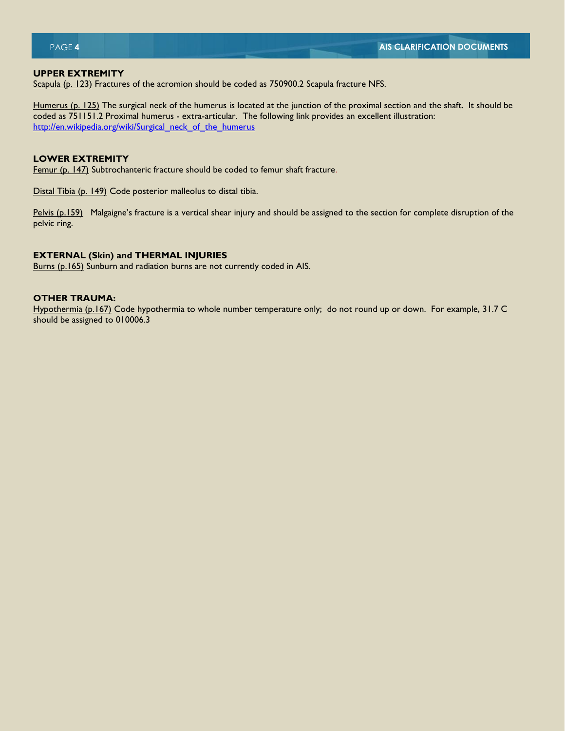#### **UPPER EXTREMITY**

Scapula (p. 123) Fractures of the acromion should be coded as 750900.2 Scapula fracture NFS.

Humerus (p. 125) The surgical neck of the humerus is located at the junction of the proximal section and the shaft. It should be coded as 751151.2 Proximal humerus - extra-articular. The following link provides an excellent illustration: [http://en.wikipedia.org/wiki/Surgical\\_neck\\_of\\_the\\_humerus](http://en.wikipedia.org/wiki/Surgical_neck_of_the_humerus)

# **LOWER EXTREMITY**

Femur (p. 147) Subtrochanteric fracture should be coded to femur shaft fracture.

Distal Tibia (p. 149) Code posterior malleolus to distal tibia.

Pelvis (p.159) Malgaigne's fracture is a vertical shear injury and should be assigned to the section for complete disruption of the pelvic ring.

#### **EXTERNAL (Skin) and THERMAL INJURIES**

Burns (p.165) Sunburn and radiation burns are not currently coded in AIS.

# **OTHER TRAUMA:**

Hypothermia (p.167) Code hypothermia to whole number temperature only; do not round up or down. For example, 31.7 C should be assigned to 010006.3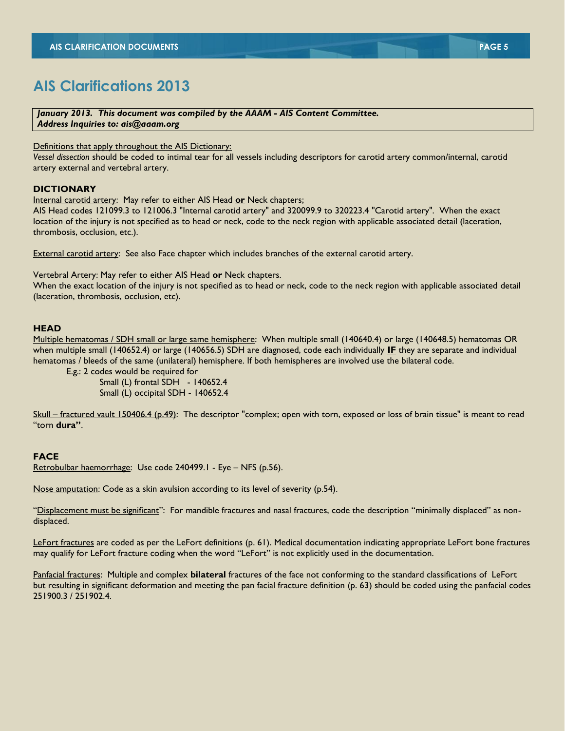# **AIS Clarifications 2013**

*January 2013. This document was compiled by the AAAM - AIS Content Committee. Address Inquiries to: ais@aaam.org*

Definitions that apply throughout the AIS Dictionary:

*Vessel dissection* should be coded to intimal tear for all vessels including descriptors for carotid artery common/internal, carotid artery external and vertebral artery.

# **DICTIONARY**

Internal carotid artery: May refer to either AIS Head **or** Neck chapters;

AIS Head codes 121099.3 to 121006.3 "Internal carotid artery" and 320099.9 to 320223.4 "Carotid artery". When the exact location of the injury is not specified as to head or neck, code to the neck region with applicable associated detail (laceration, thrombosis, occlusion, etc.).

External carotid artery: See also Face chapter which includes branches of the external carotid artery.

Vertebral Artery: May refer to either AIS Head **or** Neck chapters.

When the exact location of the injury is not specified as to head or neck, code to the neck region with applicable associated detail (laceration, thrombosis, occlusion, etc).

# **HEAD**

Multiple hematomas / SDH small or large same hemisphere: When multiple small (140640.4) or large (140648.5) hematomas OR when multiple small (140652.4) or large (140656.5) SDH are diagnosed, code each individually **IF** they are separate and individual hematomas / bleeds of the same (unilateral) hemisphere. If both hemispheres are involved use the bilateral code.

E.g.: 2 codes would be required for

 Small (L) frontal SDH - 140652.4 Small (L) occipital SDH - 140652.4

Skull – fractured vault 150406.4 (p.49): The descriptor "complex; open with torn, exposed or loss of brain tissue" is meant to read "torn **dura"**.

# **FACE**

Retrobulbar haemorrhage: Use code 240499.1 - Eye – NFS (p.56).

Nose amputation: Code as a skin avulsion according to its level of severity (p.54).

"Displacement must be significant": For mandible fractures and nasal fractures, code the description "minimally displaced" as nondisplaced.

LeFort fractures are coded as per the LeFort definitions (p. 61). Medical documentation indicating appropriate LeFort bone fractures may qualify for LeFort fracture coding when the word "LeFort" is not explicitly used in the documentation.

Panfacial fractures: Multiple and complex **bilateral** fractures of the face not conforming to the standard classifications of LeFort but resulting in significant deformation and meeting the pan facial fracture definition (p. 63) should be coded using the panfacial codes 251900.3 / 251902.4.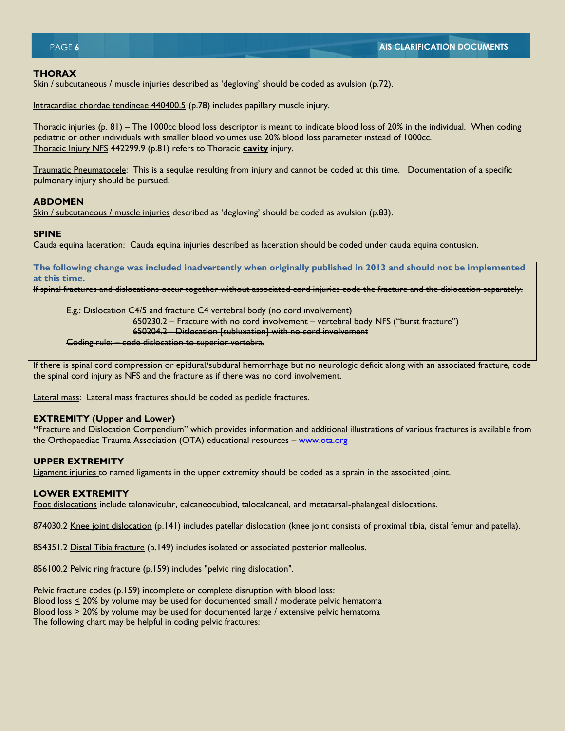## **THORAX**

Skin / subcutaneous / muscle injuries described as 'degloving' should be coded as avulsion (p.72).

Intracardiac chordae tendineae 440400.5 (p.78) includes papillary muscle injury.

Thoracic injuries (p. 81) – The 1000cc blood loss descriptor is meant to indicate blood loss of 20% in the individual. When coding pediatric or other individuals with smaller blood volumes use 20% blood loss parameter instead of 1000cc. Thoracic Injury NFS 442299.9 (p.81) refers to Thoracic **cavity** injury.

Traumatic Pneumatocele: This is a sequlae resulting from injury and cannot be coded at this time. Documentation of a specific pulmonary injury should be pursued.

#### **ABDOMEN**

Skin / subcutaneous / muscle injuries described as 'degloving' should be coded as avulsion (p.83).

#### **SPINE**

Cauda equina laceration: Cauda equina injuries described as laceration should be coded under cauda equina contusion.

**The following change was included inadvertently when originally published in 2013 and should not be implemented at this time.**

If spinal fractures and dislocations occur together without associated cord injuries code the fracture and the dislocation separately.

E.g.: Dislocation C4/5 and fracture C4 vertebral body (no cord involvement)

650230.2 – Fracture with no cord involvement – vertebral body NFS ("burst fracture")

650204.2 - Dislocation [subluxation] with no cord involvement

Coding rule: – code dislocation to superior vertebra.

If there is spinal cord compression or epidural/subdural hemorrhage but no neurologic deficit along with an associated fracture, code the spinal cord injury as NFS and the fracture as if there was no cord involvement.

Lateral mass: Lateral mass fractures should be coded as pedicle fractures.

#### **EXTREMITY (Upper and Lower)**

**"**Fracture and Dislocation Compendium" which provides information and additional illustrations of various fractures is available from the Orthopaediac Trauma Association (OTA) educational resources - [www.ota.org](http://www.ota.org/)

## **UPPER EXTREMITY**

Ligament injuries to named ligaments in the upper extremity should be coded as a sprain in the associated joint.

## **LOWER EXTREMITY**

Foot dislocations include talonavicular, calcaneocubiod, talocalcaneal, and metatarsal-phalangeal dislocations.

874030.2 Knee joint dislocation (p.141) includes patellar dislocation (knee joint consists of proximal tibia, distal femur and patella).

854351.2 Distal Tibia fracture (p.149) includes isolated or associated posterior malleolus.

856100.2 Pelvic ring fracture (p.159) includes "pelvic ring dislocation".

Pelvic fracture codes (p.159) incomplete or complete disruption with blood loss: Blood loss  $\leq$  20% by volume may be used for documented small / moderate pelvic hematoma Blood loss  $>$  20% by volume may be used for documented large / extensive pelvic hematoma The following chart may be helpful in coding pelvic fractures: